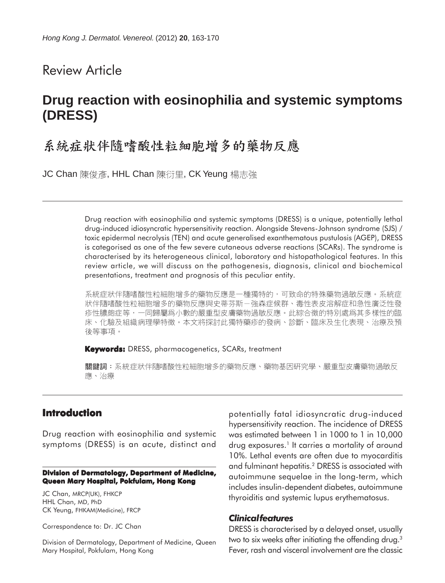# Review Article

# **Drug reaction with eosinophilia and systemic symptoms (DRESS)**

# 系統症狀伴隨嗜酸性粒細胞增多的藥物反應

JC Chan 陳俊彥, HHL Chan 陳衍里, CK Yeung 楊志強

Drug reaction with eosinophilia and systemic symptoms (DRESS) is a unique, potentially lethal drug-induced idiosyncratic hypersensitivity reaction. Alongside Stevens-Johnson syndrome (SJS) / toxic epidermal necrolysis (TEN) and acute generalised exanthematous pustulosis (AGEP), DRESS is categorised as one of the few severe cutaneous adverse reactions (SCARs). The syndrome is characterised by its heterogeneous clinical, laboratory and histopathological features. In this review article, we will discuss on the pathogenesis, diagnosis, clinical and biochemical presentations, treatment and prognosis of this peculiar entity.

系統症狀伴隨嗜酸性粒細胞增多的藥物反應是一種獨特的,可致命的特殊藥物過敏反應。系統症 狀伴隨嗜酸性粒細胞增多的藥物反應與史蒂芬斯-強森症候群、毒性表皮溶解症和急性廣泛性發 疹性膿皰症等,一同歸屬爲小數的嚴重型皮膚藥物過敏反應。此綜合徵的特別處爲其多樣性的臨 床、化驗及組織病理學特徵。本文將探討此獨特藥疹的發病、診斷、臨床及生化表現、治療及預 後等事項。

**Keywords:** DRESS, pharmacogenetics, SCARs, treatment

關鍵詞:系統症狀伴隨嗜酸性粒細胞增多的藥物反應、藥物基因研究學、嚴重型皮膚藥物過敏反 應、治療

## **Introduction**

Drug reaction with eosinophilia and systemic symptoms (DRESS) is an acute, distinct and

#### **Division of Dermatology, Department of Medicine, Queen Mary Hospital, Pokfulam, Hong Kong**

JC Chan, MRCP(UK), FHKCP HHL Chan, MD, PhD CK Yeung, FHKAM(Medicine), FRCP

Correspondence to: Dr. JC Chan

Division of Dermatology, Department of Medicine, Queen Mary Hospital, Pokfulam, Hong Kong

potentially fatal idiosyncratic drug-induced hypersensitivity reaction. The incidence of DRESS was estimated between 1 in 1000 to 1 in 10,000 drug exposures.<sup>1</sup> It carries a mortality of around 10%. Lethal events are often due to myocarditis and fulminant hepatitis.2 DRESS is associated with autoimmune sequelae in the long-term, which includes insulin-dependent diabetes, autoimmune thyroiditis and systemic lupus erythematosus.

## *Clinical features*

DRESS is characterised by a delayed onset, usually two to six weeks after initiating the offending drug.3 Fever, rash and visceral involvement are the classic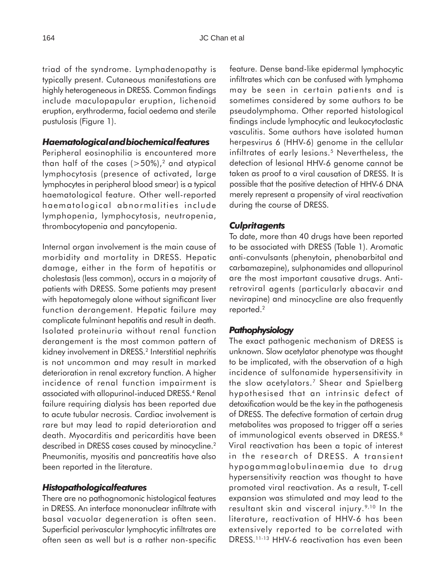triad of the syndrome. Lymphadenopathy is typically present. Cutaneous manifestations are highly heterogeneous in DRESS. Common findings include maculopapular eruption, lichenoid eruption, erythroderma, facial oedema and sterile pustulosis (Figure 1).

## *Haematological and biochemical features*

Peripheral eosinophilia is encountered more than half of the cases  $(>50\%)$ ,<sup>2</sup> and atypical lymphocytosis (presence of activated, large lymphocytes in peripheral blood smear) is a typical haematological feature. Other well-reported haematological abnormalities include lymphopenia, lymphocytosis, neutropenia, thrombocytopenia and pancytopenia.

Internal organ involvement is the main cause of morbidity and mortality in DRESS. Hepatic damage, either in the form of hepatitis or cholestasis (less common), occurs in a majority of patients with DRESS. Some patients may present with hepatomegaly alone without significant liver function derangement. Hepatic failure may complicate fulminant hepatitis and result in death. Isolated proteinuria without renal function derangement is the most common pattern of kidney involvement in DRESS.2 Interstitial nephritis is not uncommon and may result in marked deterioration in renal excretory function. A higher incidence of renal function impairment is associated with allopurinol-induced DRESS.4 Renal failure requiring dialysis has been reported due to acute tubular necrosis. Cardiac involvement is rare but may lead to rapid deterioration and death. Myocarditis and pericarditis have been described in DRESS cases caused by minocycline.<sup>2</sup> Pneumonitis, myositis and pancreatitis have also been reported in the literature.

#### *Histopathological features*

There are no pathognomonic histological features in DRESS. An interface mononuclear infiltrate with basal vacuolar degeneration is often seen. Superficial perivascular lymphocytic infiltrates are often seen as well but is a rather non-specific

feature. Dense band-like epidermal lymphocytic infiltrates which can be confused with lymphoma may be seen in certain patients and is sometimes considered by some authors to be pseudolymphoma. Other reported histological findings include lymphocytic and leukocytoclastic vasculitis. Some authors have isolated human herpesvirus 6 (HHV-6) genome in the cellular infiltrates of early lesions.<sup>5</sup> Nevertheless, the detection of lesional HHV-6 genome cannot be taken as proof to a viral causation of DRESS. It is possible that the positive detection of HHV-6 DNA merely represent a propensity of viral reactivation during the course of DRESS.

## *Culprit agents*

To date, more than 40 drugs have been reported to be associated with DRESS (Table 1). Aromatic anti-convulsants (phenytoin, phenobarbital and carbamazepine), sulphonamides and allopurinol are the most important causative drugs. Antiretroviral agents (particularly abacavir and nevirapine) and minocycline are also frequently reported.<sup>2</sup>

## *Pathophysiology*

The exact pathogenic mechanism of DRESS is unknown. Slow acetylator phenotype was thought to be implicated, with the observation of a high incidence of sulfonamide hypersensitivity in the slow acetylators.7 Shear and Spielberg hypothesised that an intrinsic defect of detoxification would be the key in the pathogenesis of DRESS. The defective formation of certain drug metabolites was proposed to trigger off a series of immunological events observed in DRESS.<sup>8</sup> Viral reactivation has been a topic of interest in the research of DRESS. A transient hypogammaglobulinaemia due to drug hypersensitivity reaction was thought to have promoted viral reactivation. As a result, T-cell expansion was stimulated and may lead to the resultant skin and visceral injury.9,10 In the literature, reactivation of HHV-6 has been extensively reported to be correlated with DRESS.11-13 HHV-6 reactivation has even been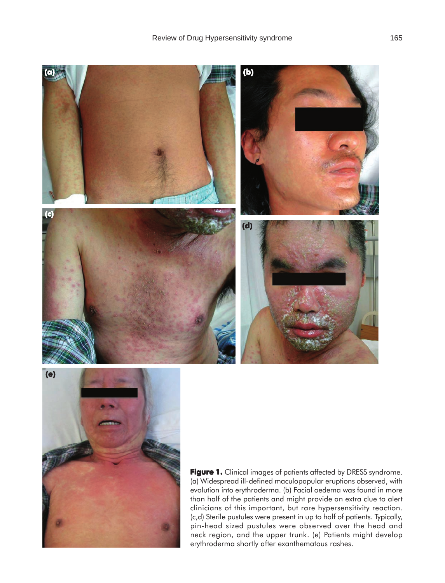



Figure 1. Clinical images of patients affected by DRESS syndrome. (a) Widespread ill-defined maculopapular eruptions observed, with evolution into erythroderma. (b) Facial oedema was found in more than half of the patients and might provide an extra clue to alert clinicians of this important, but rare hypersensitivity reaction. (c,d) Sterile pustules were present in up to half of patients. Typically, pin-head sized pustules were observed over the head and neck region, and the upper trunk. (e) Patients might develop erythroderma shortly after exanthematous rashes.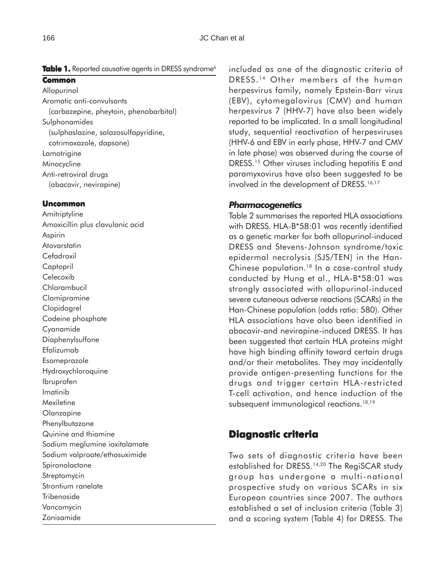Table 1. Reported causative agents in DRESS syndrome<sup>6</sup>

### **Common**

Allopurinol Aromatic anti-convulsants (carbazepine, pheytoin, phenobarbital) Sulphonamides (sulphaslazine, salazosulfapyridine, cotrimoxazole, dapsone) Lamotrigine Minocycline Anti-retroviral drugs (abacavir, nevirapine)

## **Uncommon**

**Amitriptyline** Amoxicillin plus clavulanic acid Aspirin Atovarstatin Cefadroxil Captopril Celecoxib Chlorambucil Clomipramine Clopidogrel Codeine phosphate Cyanamide Diaphenylsulfone Efalizumab Esomeprazole Hydroxychloroquine Ibruprofen Imatinib Mexiletine Olanzapine Phenylbutazone Quinine and thiamine Sodium meglumine ioxitalamate Sodium valproate/ethosuximide **Spironolactone** Streptomycin Strontium ranelate **Tribenoside** Vancomycin Zonisamide

included as one of the diagnostic criteria of DRESS. 14 Other members of the human herpesvirus family, namely Epstein-Barr virus (EBV), cytomegalovirus (CMV) and human herpesvirus 7 (HHV-7) have also been widely reported to be implicated. In a small longitudinal study, sequential reactivation of herpesviruses (HHV-6 and EBV in early phase, HHV-7 and CMV in late phase) was observed during the course of DRESS.15 Other viruses including hepatitis E and paramyxovirus have also been suggested to be involved in the development of DRESS.<sup>16,17</sup>

## *Pharmacogenetics*

Table 2 summarises the reported HLA associations with DRESS. HLA-B\*58:01 was recently identified as a genetic marker for both allopurinol-induced DRESS and Stevens-Johnson syndrome/toxic epidermal necrolysis (SJS/TEN) in the Han-Chinese population.18 In a case-control study conducted by Hung et al., HLA-B\*58:01 was strongly associated with allopurinol-induced severe cutaneous adverse reactions (SCARs) in the Han-Chinese population (odds ratio: 580). Other HLA associations have also been identified in abacavir-and nevirapine-induced DRESS. It has been suggested that certain HLA proteins might have high binding affinity toward certain drugs and/or their metabolites. They may incidentally provide antigen-presenting functions for the drugs and trigger certain HLA-restricted T-cell activation, and hence induction of the subsequent immunological reactions.<sup>18,19</sup>

## **Diagnostic criteria**

Two sets of diagnostic criteria have been established for DRESS.<sup>14,20</sup> The RegiSCAR study group has undergone a multi-national prospective study on various SCARs in six European countries since 2007. The authors established a set of inclusion criteria (Table 3) and a scoring system (Table 4) for DRESS. The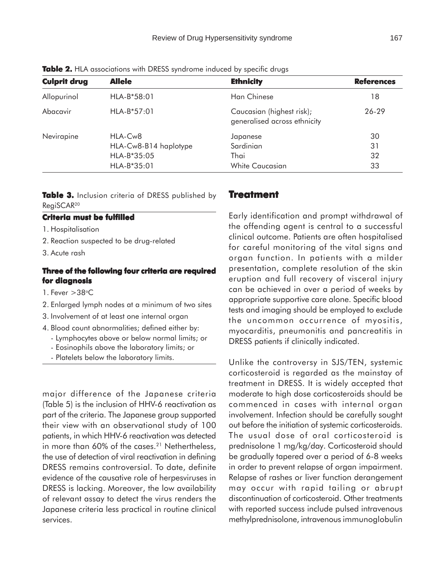| <b>Culprit drug</b> | <b>Allele</b>                    | <b>Ethnicity</b>                                          | <b>References</b> |
|---------------------|----------------------------------|-----------------------------------------------------------|-------------------|
| Allopurinol         | $HLA-B*58:01$                    | Han Chinese                                               | 18                |
| Abacavir            | $HLA-B*57:01$                    | Caucasian (highest risk);<br>generalised across ethnicity | 26-29             |
| Nevirapine          | HLA-Cw8<br>HLA-Cw8-B14 haplotype | Japanese<br>Sardinian                                     | 30<br>31          |
|                     | $HLA-B*35:05$<br>$HLA-B*35:01$   | Thai<br>White Caucasian                                   | 32<br>33          |

**Table 2.** HLA associations with DRESS syndrome induced by specific drugs

Table 3. Inclusion criteria of DRESS published by RegiSCAR20

### **Criteria must be fulfilled**

1. Hospitalisation

- 2. Reaction suspected to be drug-related
- 3. Acute rash

## **Three of the following four criteria are required for diagnosis**

- 1. Fever  $>38^{\circ}$ C
- 2. Enlarged lymph nodes at a minimum of two sites
- 3. Involvement of at least one internal organ
- 4. Blood count abnormalities; defined either by:
	- Lymphocytes above or below normal limits; or
	- Eosinophils above the laboratory limits; or
	- Platelets below the laboratory limits.

major difference of the Japanese criteria (Table 5) is the inclusion of HHV-6 reactivation as part of the criteria. The Japanese group supported their view with an observational study of 100 patients, in which HHV-6 reactivation was detected in more than 60% of the cases.<sup>21</sup> Nethertheless, the use of detection of viral reactivation in defining DRESS remains controversial. To date, definite evidence of the causative role of herpesviruses in DRESS is lacking. Moreover, the low availability of relevant assay to detect the virus renders the Japanese criteria less practical in routine clinical services.

#### **Treatment reatment**

Early identification and prompt withdrawal of the offending agent is central to a successful clinical outcome. Patients are often hospitalised for careful monitoring of the vital signs and organ function. In patients with a milder presentation, complete resolution of the skin eruption and full recovery of visceral injury can be achieved in over a period of weeks by appropriate supportive care alone. Specific blood tests and imaging should be employed to exclude the uncommon occurrence of myositis, myocarditis, pneumonitis and pancreatitis in DRESS patients if clinically indicated.

Unlike the controversy in SJS/TEN, systemic corticosteroid is regarded as the mainstay of treatment in DRESS. It is widely accepted that moderate to high dose corticosteroids should be commenced in cases with internal organ involvement. Infection should be carefully sought out before the initiation of systemic corticosteroids. The usual dose of oral corticosteroid is prednisolone 1 mg/kg/day. Corticosteroid should be gradually tapered over a period of 6-8 weeks in order to prevent relapse of organ impairment. Relapse of rashes or liver function derangement may occur with rapid tailing or abrupt discontinuation of corticosteroid. Other treatments with reported success include pulsed intravenous methylprednisolone, intravenous immunoglobulin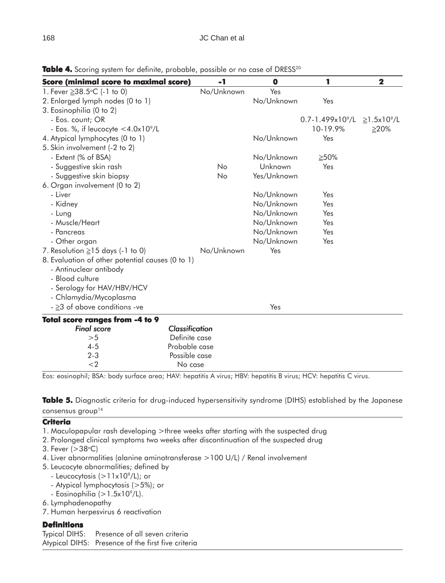| <b>Score (minimal score to maximal score)</b>                              | $-1$                  | $\bullet$   | 1                              | $\overline{\mathbf{2}}$     |
|----------------------------------------------------------------------------|-----------------------|-------------|--------------------------------|-----------------------------|
| 1. Fever ≥38.5°C (-1 to 0)                                                 | No/Unknown            | Yes         |                                |                             |
| 2. Enlarged lymph nodes (0 to 1)                                           |                       | No/Unknown  | Yes                            |                             |
| 3. Eosinophilia (0 to 2)                                                   |                       |             |                                |                             |
| - Eos. count; OR                                                           |                       |             | $0.7 - 1.499 \times 10^{9}$ /L | $\geq$ 1.5x10 $^{\circ}$ /L |
| - Eos. %, if leucocyte $<$ 4.0x10 <sup>9</sup> /L                          |                       |             | 10-19.9%                       | $\geq$ 20%                  |
| 4. Atypical lymphocytes (0 to 1)                                           |                       | No/Unknown  | Yes                            |                             |
| 5. Skin involvement (-2 to 2)                                              |                       |             |                                |                             |
| - Extent (% of BSA)                                                        |                       | No/Unknown  | $\geq 50\%$                    |                             |
| - Suggestive skin rash                                                     | No.                   | Unknown     | Yes                            |                             |
| - Suggestive skin biopsy                                                   | <b>No</b>             | Yes/Unknown |                                |                             |
| 6. Organ involvement (0 to 2)                                              |                       |             |                                |                             |
| - Liver                                                                    |                       | No/Unknown  | Yes                            |                             |
| - Kidney                                                                   |                       | No/Unknown  | Yes                            |                             |
| - Lung                                                                     |                       | No/Unknown  | Yes                            |                             |
| - Muscle/Heart                                                             |                       | No/Unknown  | Yes                            |                             |
| - Pancreas                                                                 |                       | No/Unknown  | Yes                            |                             |
| - Other organ                                                              |                       | No/Unknown  | Yes                            |                             |
| 7. Resolution $\geq$ 15 days (-1 to 0)                                     | No/Unknown            | Yes         |                                |                             |
| 8. Evaluation of other potential causes (0 to 1)<br>- Antinuclear antibody |                       |             |                                |                             |
| - Blood culture                                                            |                       |             |                                |                             |
| - Serology for HAV/HBV/HCV                                                 |                       |             |                                |                             |
| - Chlamydia/Mycoplasma                                                     |                       |             |                                |                             |
| $ \geq$ 3 of above conditions -ve                                          |                       | Yes         |                                |                             |
| Total score ranges from -4 to 9                                            |                       |             |                                |                             |
| <b>Final score</b>                                                         | <b>Classification</b> |             |                                |                             |
| >5                                                                         | Definite case         |             |                                |                             |
| $4 - 5$                                                                    | Probable case         |             |                                |                             |
| $2 - 3$                                                                    | Possible case         |             |                                |                             |

**Table 4.** Scoring system for definite, probable, possible or no case of DRESS<sup>20</sup>

Eos: eosinophil; BSA: body surface area; HAV: hepatitis A virus; HBV: hepatitis B virus; HCV: hepatitis C virus.

**Table 5.** Diagnostic criteria for drug-induced hypersensitivity syndrome (DIHS) established by the Japanese consensus group<sup>14</sup>

#### **Criteria**

- 1. Maculopapular rash developing >three weeks after starting with the suspected drug
- 2. Prolonged clinical symptoms two weeks after discontinuation of the suspected drug
- 3. Fever  $(>38^{\circ}C)$
- 4. Liver abnormalities (alanine aminotransferase >100 U/L) / Renal involvement

<2 No case

- 5. Leucocyte abnormalities; defined by
	- Leucocytosis  $(>11x10^9/L)$ ; or
	- Atypical lymphocytosis (>5%); or
	- Eosinophilia  $(>1.5x10^9/L)$ .
- 6. Lymphadenopathy
- 7. Human herpesvirus 6 reactivation

### **Definitions**

Typical DIHS: Presence of all seven criteria Atypical DIHS: Presence of the first five criteria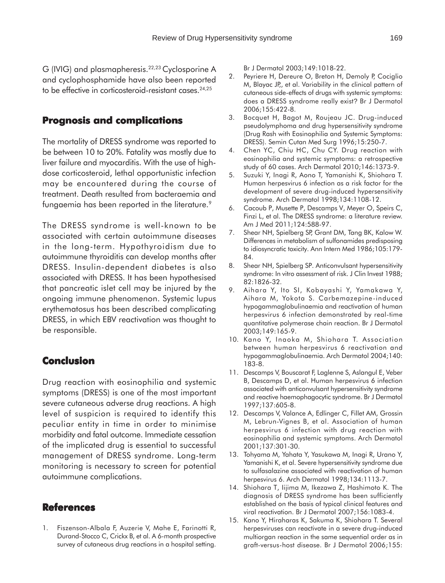G (IVIG) and plasmapheresis.<sup>22,23</sup> Cyclosporine A and cyclophosphamide have also been reported to be effective in corticosteroid-resistant cases.<sup>24,25</sup>

## **Prognosis and complications**

The mortality of DRESS syndrome was reported to be between 10 to 20%. Fatality was mostly due to liver failure and myocarditis. With the use of highdose corticosteroid, lethal opportunistic infection may be encountered during the course of treatment. Death resulted from bacteraemia and fungaemia has been reported in the literature.<sup>9</sup>

The DRESS syndrome is well-known to be associated with certain autoimmune diseases in the long-term. Hypothyroidism due to autoimmune thyroiditis can develop months after DRESS. Insulin-dependent diabetes is also associated with DRESS. It has been hypothesised that pancreatic islet cell may be injured by the ongoing immune phenomenon. Systemic lupus erythematosus has been described complicating DRESS, in which EBV reactivation was thought to be responsible.

## **Conclusion**

Drug reaction with eosinophilia and systemic symptoms (DRESS) is one of the most important severe cutaneous adverse drug reactions. A high level of suspicion is required to identify this peculiar entity in time in order to minimise morbidity and fatal outcome. Immediate cessation of the implicated drug is essential to successful management of DRESS syndrome. Long-term monitoring is necessary to screen for potential autoimmune complications.

## **References**

1. Fiszenson-Albala F, Auzerie V, Mahe E, Farinotti R, Durand-Stocco C, Crickx B, et al. A 6-month prospective survey of cutaneous drug reactions in a hospital setting.

Br J Dermatol 2003;149:1018-22.

- 2. Peyriere H, Dereure O, Breton H, Demoly P, Cociglio M, Blayac JP,, et al. Variability in the clinical pattern of cutaneous side-effects of drugs with systemic symptoms: does a DRESS syndrome really exist? Br J Dermatol 2006;155:422-8.
- 3. Bocquet H, Bagot M, Roujeau JC. Drug-induced pseudolymphoma and drug hypersensitivity syndrome (Drug Rash with Eosinophilia and Systemic Symptoms: DRESS). Semin Cutan Med Surg 1996;15:250-7.
- 4. Chen YC, Chiu HC, Chu CY. Drug reaction with eosinophilia and systemic symptoms: a retrospective study of 60 cases. Arch Dermatol 2010;146:1373-9.
- 5. Suzuki Y, Inagi R, Aono T, Yamanishi K, Shiohara T. Human herpesvirus 6 infection as a risk factor for the development of severe drug-induced hypersensitivity syndrome. Arch Dermatol 1998;134:1108-12.
- 6. Cacoub P, Musette P, Descamps V, Meyer O, Speirs C, Finzi L, et al. The DRESS syndrome: a literature review. Am J Med 2011;124:588-97.
- 7. Shear NH, Spielberg SP, Grant DM, Tang BK, Kalow W. Differences in metabolism of sulfonamides predisposing to idiosyncratic toxicity. Ann Intern Med 1986;105:179- 84.
- 8. Shear NH, Spielberg SP. Anticonvulsant hypersensitivity syndrome: In vitro assessment of risk. J Clin Invest 1988; 82:1826-32.
- 9. Aihara Y, Ito SI, Kobayashi Y, Yamakawa Y, Aihara M, Yokota S. Carbemazepine-induced hypogammaglobulinaemia and reactivation of human herpesvirus 6 infection demonstrated by real-time quantitative polymerase chain reaction. Br J Dermatol 2003;149:165-9.
- 10. Kano Y, Inaoka M, Shiohara T. Association between human herpesvirus 6 reactivation and hypogammaglobulinaemia. Arch Dermatol 2004;140: 183-8.
- 11. Descamps V, Bouscarat F, Laglenne S, Aslangul E, Veber B, Descamps D, et al. Human herpesvirus 6 infection associated with anticonvulsant hypersensitivity syndrome and reactive haemophagocytic syndrome. Br J Dermatol 1997;137:605-8.
- 12. Descamps V, Valance A, Edlinger C, Fillet AM, Grossin M, Lebrun-Vignes B, et al. Association of human herpesvirus 6 infection with drug reaction with eosinophilia and systemic symptoms. Arch Dermatol 2001;137:301-30.
- 13. Tohyama M, Yahata Y, Yasukawa M, Inagi R, Urano Y, Yamanishi K, et al. Severe hypersensitivity syndrome due to sulfasalazine associated with reactivation of human herpesvirus 6. Arch Dermatol 1998;134:1113-7.
- 14. Shiohara T, Iijima M, Ikezawa Z, Hashimoto K. The diagnosis of DRESS syndrome has been sufficiently established on the basis of typical clinical features and viral reactivation. Br J Dermatol 2007;156:1083-4.
- 15. Kano Y, Hiraharas K, Sakuma K, Shiohara T. Several herpesviruses can reactivate in a severe drug-induced multiorgan reaction in the same sequential order as in graft-versus-host disease. Br J Dermatol 2006;155: